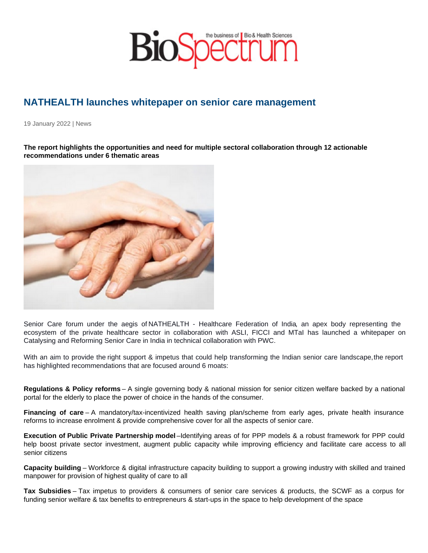## NATHEALTH launches whitepaper on senior care management

19 January 2022 | News

The report highlights the opportunities and need for multiple sectoral collaboration through 12 actionable recommendations under 6 thematic areas

Senior Care forum under the aegis of NATHEALTH - Healthcare Federation of India, an apex body representing the ecosystem of the private healthcare sector in collaboration with ASLI, FICCI and MTaI has launched a whitepaper on Catalysing and Reforming Senior Care in India in technical collaboration with PWC.

With an aim to provide the right support & impetus that could help transforming the Indian senior care landscape, the report has highlighted recommendations that are focused around 6 moats:

Regulations & Policy reforms – A single governing body & national mission for senior citizen welfare backed by a national portal for the elderly to place the power of choice in the hands of the consumer.

Financing of care – A mandatory/tax-incentivized health saving plan/scheme from early ages, private health insurance reforms to increase enrolment & provide comprehensive cover for all the aspects of senior care.

Execution of Public Private Partnership model –Identifying areas of for PPP models & a robust framework for PPP could help boost private sector investment, augment public capacity while improving efficiency and facilitate care access to all senior citizens

Capacity building – Workforce & digital infrastructure capacity building to support a growing industry with skilled and trained manpower for provision of highest quality of care to all

Tax Subsidies – Tax impetus to providers & consumers of senior care services & products, the SCWF as a corpus for funding senior welfare & tax benefits to entrepreneurs & start-ups in the space to help development of the space